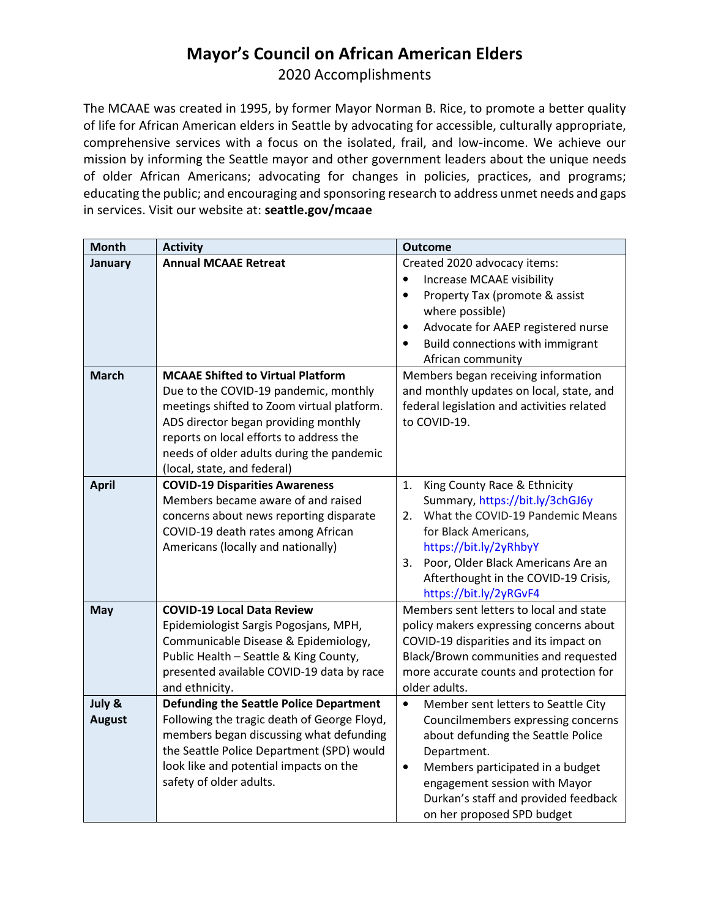## Mayor's Council on African American Elders

2020 Accomplishments

 The MCAAE was created in 1995, by former Mayor Norman B. Rice, to promote a better quality of life for African American elders in Seattle by advocating for accessible, culturally appropriate, comprehensive services with a focus on the isolated, frail, and low-income. We achieve our mission by informing the Seattle mayor and other government leaders about the unique needs of older African Americans; advocating for changes in policies, practices, and programs; educating the public; and encouraging and sponsoring research to address unmet needs and gaps [in services. Visit our website at:](https://inservices.Visitourwebsiteat:seattle.gov/mcaae) seattle.gov/mcaae

| <b>Month</b>            | <b>Activity</b>                                                                                                                                                                                                                                                                                | <b>Outcome</b>                                                                                                                                                                                                                                                                                      |
|-------------------------|------------------------------------------------------------------------------------------------------------------------------------------------------------------------------------------------------------------------------------------------------------------------------------------------|-----------------------------------------------------------------------------------------------------------------------------------------------------------------------------------------------------------------------------------------------------------------------------------------------------|
| January                 | <b>Annual MCAAE Retreat</b>                                                                                                                                                                                                                                                                    | Created 2020 advocacy items:<br>Increase MCAAE visibility<br>$\bullet$<br>Property Tax (promote & assist<br>$\bullet$<br>where possible)<br>Advocate for AAEP registered nurse<br>$\bullet$<br>Build connections with immigrant<br>$\bullet$<br>African community                                   |
| <b>March</b>            | <b>MCAAE Shifted to Virtual Platform</b><br>Due to the COVID-19 pandemic, monthly<br>meetings shifted to Zoom virtual platform.<br>ADS director began providing monthly<br>reports on local efforts to address the<br>needs of older adults during the pandemic<br>(local, state, and federal) | Members began receiving information<br>and monthly updates on local, state, and<br>federal legislation and activities related<br>to COVID-19.                                                                                                                                                       |
| <b>April</b>            | <b>COVID-19 Disparities Awareness</b><br>Members became aware of and raised<br>concerns about news reporting disparate<br>COVID-19 death rates among African<br>Americans (locally and nationally)                                                                                             | King County Race & Ethnicity<br>1.<br>Summary, https://bit.ly/3chGJ6y<br>What the COVID-19 Pandemic Means<br>2.<br>for Black Americans,<br>https://bit.ly/2yRhbyY<br>3.<br>Poor, Older Black Americans Are an<br>Afterthought in the COVID-19 Crisis,<br>https://bit.ly/2yRGvF4                     |
| May                     | <b>COVID-19 Local Data Review</b><br>Epidemiologist Sargis Pogosjans, MPH,<br>Communicable Disease & Epidemiology,<br>Public Health - Seattle & King County,<br>presented available COVID-19 data by race<br>and ethnicity.                                                                    | Members sent letters to local and state<br>policy makers expressing concerns about<br>COVID-19 disparities and its impact on<br>Black/Brown communities and requested<br>more accurate counts and protection for<br>older adults.                                                                   |
| July &<br><b>August</b> | <b>Defunding the Seattle Police Department</b><br>Following the tragic death of George Floyd,<br>members began discussing what defunding<br>the Seattle Police Department (SPD) would<br>look like and potential impacts on the<br>safety of older adults.                                     | Member sent letters to Seattle City<br>$\bullet$<br>Councilmembers expressing concerns<br>about defunding the Seattle Police<br>Department.<br>Members participated in a budget<br>$\bullet$<br>engagement session with Mayor<br>Durkan's staff and provided feedback<br>on her proposed SPD budget |